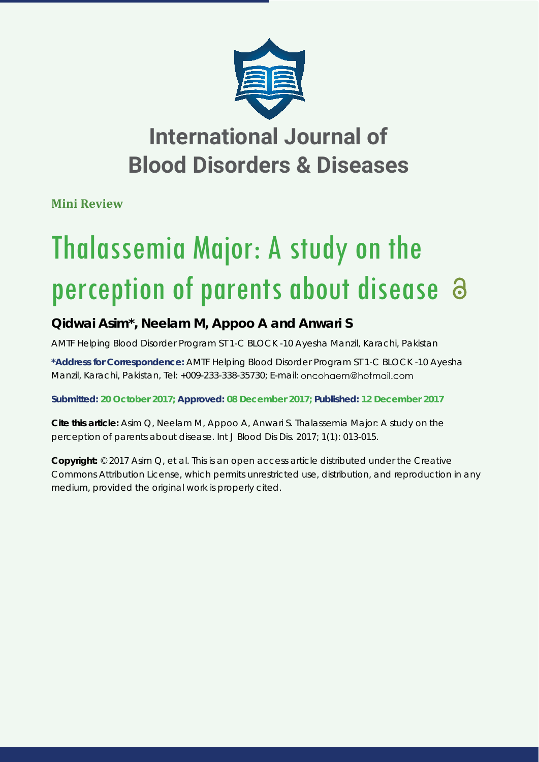

## **International Journal of Blood Disorders & Diseases**

**Mini Review**

# Thalassemia Major: A study on the perception of parents about disease  $\partial$

### **Qidwai Asim\*, Neelam M, Appoo A and Anwari S**

*AMTF Helping Blood Disorder Program ST 1-C BLOCK -10 Ayesha Manzil, Karachi, Pakistan*

**\*Address for Correspondence:** AMTF Helping Blood Disorder Program ST 1-C BLOCK -10 Ayesha Manzil, Karachi, Pakistan, Tel: +009-233-338-35730; E-mail:

**Submitted: 20 October 2017; Approved: 08 December 2017; Published: 12 December 2017**

**Cite this article:** Asim Q, Neelam M, Appoo A, Anwari S. Thalassemia Major: A study on the perception of parents about disease. Int J Blood Dis Dis. 2017; 1(1): 013-015.

**Copyright:** © 2017 Asim Q, et al. This is an open access article distributed under the Creative Commons Attribution License, which permits unrestricted use, distribution, and reproduction in any medium, provided the original work is properly cited.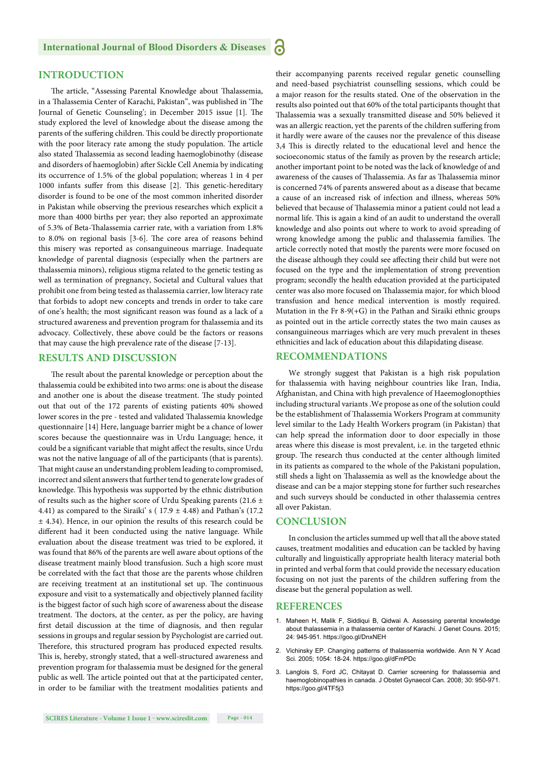#### **INTRODUCTION**

The article, "Assessing Parental Knowledge about Thalassemia, in a Thalassemia Center of Karachi, Pakistan", was published in 'The Journal of Genetic Counseling'; in December 2015 issue [1]. The study explored the level of knowledge about the disease among the parents of the suffering children. This could be directly proportionate with the poor literacy rate among the study population. The article also stated Thalassemia as second leading haemoglobinothy (disease and disorders of haemoglobin) after Sickle Cell Anemia by indicating its occurrence of 1.5% of the global population; whereas 1 in 4 per 1000 infants suffer from this disease [2]. This genetic-hereditary disorder is found to be one of the most common inherited disorder in Pakistan while observing the previous researches which explicit a more than 4000 births per year; they also reported an approximate of 5.3% of Beta-Thalassemia carrier rate, with a variation from 1.8% to 8.0% on regional basis [3-6]. The core area of reasons behind this misery was reported as consanguineous marriage. Inadequate knowledge of parental diagnosis (especially when the partners are thalassemia minors), religious stigma related to the genetic testing as well as termination of pregnancy, Societal and Cultural values that prohibit one from being tested as thalassemia carrier, low literacy rate that forbids to adopt new concepts and trends in order to take care of one's health; the most significant reason was found as a lack of a structured awareness and prevention program for thalassemia and its advocacy. Collectively, these above could be the factors or reasons that may cause the high prevalence rate of the disease [7-13].

#### **RESULTS AND DISCUSSION**

The result about the parental knowledge or perception about the thalassemia could be exhibited into two arms: one is about the disease and another one is about the disease treatment. The study pointed out that out of the 172 parents of existing patients 40% showed lower scores in the pre - tested and validated Thalassemia knowledge questionnaire [14] Here, language barrier might be a chance of lower scores because the questionnaire was in Urdu Language; hence, it could be a significant variable that might affect the results, since Urdu was not the native language of all of the participants (that is parents). That might cause an understanding problem leading to compromised, incorrect and silent answers that further tend to generate low grades of knowledge. This hypothesis was supported by the ethnic distribution of results such as the higher score of Urdu Speaking parents (21.6  $\pm$ 4.41) as compared to the Siraiki's ( $17.9 \pm 4.48$ ) and Pathan's (17.2)  $\pm$  4.34). Hence, in our opinion the results of this research could be different had it been conducted using the native language. While evaluation about the disease treatment was tried to be explored, it was found that 86% of the parents are well aware about options of the disease treatment mainly blood transfusion. Such a high score must be correlated with the fact that those are the parents whose children are receiving treatment at an institutional set up. The continuous exposure and visit to a systematically and objectively planned facility is the biggest factor of such high score of awareness about the disease treatment. The doctors, at the center, as per the policy, are having first detail discussion at the time of diagnosis, and then regular sessions in groups and regular session by Psychologist are carried out. Therefore, this structured program has produced expected results. This is, hereby, strongly stated, that a well-structured awareness and prevention program for thalassemia must be designed for the general public as well. The article pointed out that at the participated center, in order to be familiar with the treatment modalities patients and

their accompanying parents received regular genetic counselling and need-based psychiatrist counselling sessions, which could be a major reason for the results stated. One of the observation in the results also pointed out that 60% of the total participants thought that Thalassemia was a sexually transmitted disease and 50% believed it was an allergic reaction, yet the parents of the children suffering from it hardly were aware of the causes nor the prevalence of this disease 3,4 This is directly related to the educational level and hence the socioeconomic status of the family as proven by the research article; another important point to be noted was the lack of knowledge of and awareness of the causes of Thalassemia. As far as Thalassemia minor is concerned 74% of parents answered about as a disease that became a cause of an increased risk of infection and illness, whereas 50% believed that because of Thalassemia minor a patient could not lead a normal life. This is again a kind of an audit to understand the overall knowledge and also points out where to work to avoid spreading of wrong knowledge among the public and thalassemia families. The article correctly noted that mostly the parents were more focused on the disease although they could see affecting their child but were not focused on the type and the implementation of strong prevention program; secondly the health education provided at the participated center was also more focused on Thalassemia major, for which blood transfusion and hence medical intervention is mostly required. Mutation in the Fr 8-9(+G) in the Pathan and Siraiki ethnic groups as pointed out in the article correctly states the two main causes as consanguineous marriages which are very much prevalent in theses ethnicities and lack of education about this dilapidating disease.

#### **RECOMMENDATIONS**

6

We strongly suggest that Pakistan is a high risk population for thalassemia with having neighbour countries like Iran, India, Afghanistan, and China with high prevalence of Haeemoglonopthies including structural variants .We propose as one of the solution could be the establishment of Thalassemia Workers Program at community level similar to the Lady Health Workers program (in Pakistan) that can help spread the information door to door especially in those areas where this disease is most prevalent, i.e. in the targeted ethnic group. The research thus conducted at the center although limited in its patients as compared to the whole of the Pakistani population, still sheds a light on Thalassemia as well as the knowledge about the disease and can be a major stepping stone for further such researches and such surveys should be conducted in other thalassemia centres all over Pakistan.

#### **CONCLUSION**

In conclusion the articles summed up well that all the above stated causes, treatment modalities and education can be tackled by having culturally and linguistically appropriate health literacy material both in printed and verbal form that could provide the necessary education focusing on not just the parents of the children suffering from the disease but the general population as well.

#### **REFERENCES**

- 1. Maheen H, Malik F, Siddiqui B, Qidwai A. Assessing parental knowledge about thalassemia in a thalassemia center of Karachi. J Genet Couns. 2015; 24: 945-951. https://goo.gl/DnxNEH
- 2. Vichinsky EP. Changing patterns of thalassemia worldwide. Ann N Y Acad Sci. 2005; 1054: 18-24. https://goo.gl/dFmPDc
- 3. Langlois S, Ford JC, Chitayat D. Carrier screening for thalassemia and haemoglobinopathies in canada. J Obstet Gynaecol Can. 2008; 30: 950-971. https://goo.gl/4TF5j3